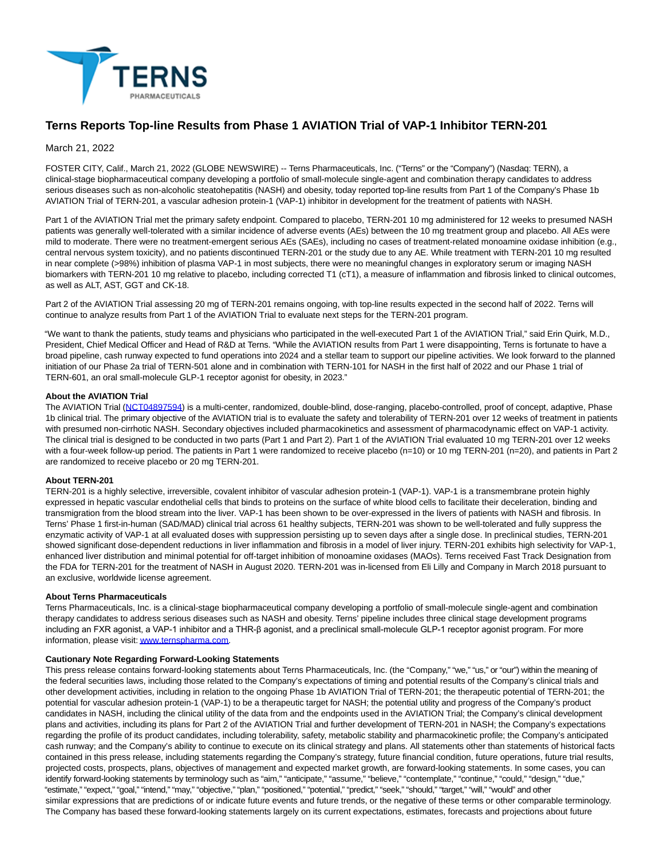

# **Terns Reports Top-line Results from Phase 1 AVIATION Trial of VAP-1 Inhibitor TERN-201**

# March 21, 2022

FOSTER CITY, Calif., March 21, 2022 (GLOBE NEWSWIRE) -- Terns Pharmaceuticals, Inc. ("Terns" or the "Company") (Nasdaq: TERN), a clinical-stage biopharmaceutical company developing a portfolio of small-molecule single-agent and combination therapy candidates to address serious diseases such as non-alcoholic steatohepatitis (NASH) and obesity, today reported top-line results from Part 1 of the Company's Phase 1b AVIATION Trial of TERN-201, a vascular adhesion protein-1 (VAP-1) inhibitor in development for the treatment of patients with NASH.

Part 1 of the AVIATION Trial met the primary safety endpoint. Compared to placebo, TERN-201 10 mg administered for 12 weeks to presumed NASH patients was generally well-tolerated with a similar incidence of adverse events (AEs) between the 10 mg treatment group and placebo. All AEs were mild to moderate. There were no treatment-emergent serious AEs (SAEs), including no cases of treatment-related monoamine oxidase inhibition (e.g., central nervous system toxicity), and no patients discontinued TERN-201 or the study due to any AE. While treatment with TERN-201 10 mg resulted in near complete (>98%) inhibition of plasma VAP-1 in most subjects, there were no meaningful changes in exploratory serum or imaging NASH biomarkers with TERN-201 10 mg relative to placebo, including corrected T1 (cT1), a measure of inflammation and fibrosis linked to clinical outcomes, as well as ALT, AST, GGT and CK-18.

Part 2 of the AVIATION Trial assessing 20 mg of TERN-201 remains ongoing, with top-line results expected in the second half of 2022. Terns will continue to analyze results from Part 1 of the AVIATION Trial to evaluate next steps for the TERN-201 program.

"We want to thank the patients, study teams and physicians who participated in the well-executed Part 1 of the AVIATION Trial," said Erin Quirk, M.D., President, Chief Medical Officer and Head of R&D at Terns. "While the AVIATION results from Part 1 were disappointing, Terns is fortunate to have a broad pipeline, cash runway expected to fund operations into 2024 and a stellar team to support our pipeline activities. We look forward to the planned initiation of our Phase 2a trial of TERN-501 alone and in combination with TERN-101 for NASH in the first half of 2022 and our Phase 1 trial of TERN-601, an oral small-molecule GLP-1 receptor agonist for obesity, in 2023."

# **About the AVIATION Trial**

The AVIATION Trial [\(NCT04897594\)](https://www.globenewswire.com/Tracker?data=zdoMnzPLjZWUgE_xqxs1ov_zDt9hE8u3uUf_oVBNgRIfOHCWz6yIHyrixko82Ficl5AzfC-MPVQBWG9yX7CjzsqEQlEPpvN-lUzqxQaD7PYfgfCfAg2vnDbqFK-eYgIrt-Qk_9uhBv3TP9JrZhnJBQ==) is a multi-center, randomized, double-blind, dose-ranging, placebo-controlled, proof of concept, adaptive, Phase 1b clinical trial. The primary objective of the AVIATION trial is to evaluate the safety and tolerability of TERN-201 over 12 weeks of treatment in patients with presumed non-cirrhotic NASH. Secondary objectives included pharmacokinetics and assessment of pharmacodynamic effect on VAP-1 activity. The clinical trial is designed to be conducted in two parts (Part 1 and Part 2). Part 1 of the AVIATION Trial evaluated 10 mg TERN-201 over 12 weeks with a four-week follow-up period. The patients in Part 1 were randomized to receive placebo (n=10) or 10 mg TERN-201 (n=20), and patients in Part 2 are randomized to receive placebo or 20 mg TERN-201.

## **About TERN-201**

TERN-201 is a highly selective, irreversible, covalent inhibitor of vascular adhesion protein-1 (VAP-1). VAP-1 is a transmembrane protein highly expressed in hepatic vascular endothelial cells that binds to proteins on the surface of white blood cells to facilitate their deceleration, binding and transmigration from the blood stream into the liver. VAP-1 has been shown to be over-expressed in the livers of patients with NASH and fibrosis. In Terns' Phase 1 first-in-human (SAD/MAD) clinical trial across 61 healthy subjects, TERN-201 was shown to be well-tolerated and fully suppress the enzymatic activity of VAP-1 at all evaluated doses with suppression persisting up to seven days after a single dose. In preclinical studies, TERN-201 showed significant dose-dependent reductions in liver inflammation and fibrosis in a model of liver injury. TERN-201 exhibits high selectivity for VAP-1, enhanced liver distribution and minimal potential for off-target inhibition of monoamine oxidases (MAOs). Terns received Fast Track Designation from the FDA for TERN-201 for the treatment of NASH in August 2020. TERN-201 was in-licensed from Eli Lilly and Company in March 2018 pursuant to an exclusive, worldwide license agreement.

## **About Terns Pharmaceuticals**

Terns Pharmaceuticals, Inc. is a clinical-stage biopharmaceutical company developing a portfolio of small-molecule single-agent and combination therapy candidates to address serious diseases such as NASH and obesity. Terns' pipeline includes three clinical stage development programs including an FXR agonist, a VAP-1 inhibitor and a THR-β agonist, and a preclinical small-molecule GLP-1 receptor agonist program. For more information, please visit[: www.ternspharma.com.](https://www.globenewswire.com/Tracker?data=8NC2OI0k3sZrDft6XGajeE6_QBINDMo3VgAp2dWF6IGcCkdLgjuy_MXcstdUirWuvWhmc1tUWrvSvP_xt5fB__3A8L2RdJKXI4RSpONrAIk=)

#### **Cautionary Note Regarding Forward-Looking Statements**

This press release contains forward-looking statements about Terns Pharmaceuticals, Inc. (the "Company," "we," "us," or "our") within the meaning of the federal securities laws, including those related to the Company's expectations of timing and potential results of the Company's clinical trials and other development activities, including in relation to the ongoing Phase 1b AVIATION Trial of TERN-201; the therapeutic potential of TERN-201; the potential for vascular adhesion protein-1 (VAP-1) to be a therapeutic target for NASH; the potential utility and progress of the Company's product candidates in NASH, including the clinical utility of the data from and the endpoints used in the AVIATION Trial; the Company's clinical development plans and activities, including its plans for Part 2 of the AVIATION Trial and further development of TERN-201 in NASH; the Company's expectations regarding the profile of its product candidates, including tolerability, safety, metabolic stability and pharmacokinetic profile; the Company's anticipated cash runway; and the Company's ability to continue to execute on its clinical strategy and plans. All statements other than statements of historical facts contained in this press release, including statements regarding the Company's strategy, future financial condition, future operations, future trial results, projected costs, prospects, plans, objectives of management and expected market growth, are forward-looking statements. In some cases, you can identify forward-looking statements by terminology such as "aim," "anticipate," "assume," "believe," "contemplate," "continue," "could," "design," "due," "estimate," "expect," "goal," "intend," "may," "objective," "plan," "positioned," "potential," "predict," "seek," "should," "target," "will," "would" and other similar expressions that are predictions of or indicate future events and future trends, or the negative of these terms or other comparable terminology. The Company has based these forward-looking statements largely on its current expectations, estimates, forecasts and projections about future